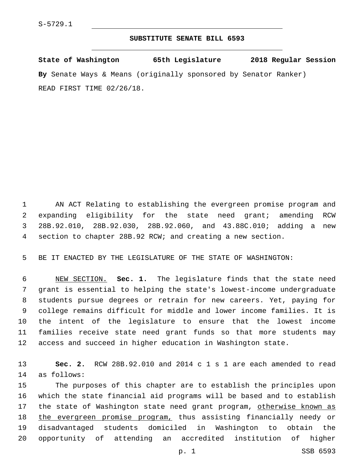## **SUBSTITUTE SENATE BILL 6593**

**State of Washington 65th Legislature 2018 Regular Session By** Senate Ways & Means (originally sponsored by Senator Ranker) READ FIRST TIME 02/26/18.

 AN ACT Relating to establishing the evergreen promise program and expanding eligibility for the state need grant; amending RCW 28B.92.010, 28B.92.030, 28B.92.060, and 43.88C.010; adding a new section to chapter 28B.92 RCW; and creating a new section.

BE IT ENACTED BY THE LEGISLATURE OF THE STATE OF WASHINGTON:

 NEW SECTION. **Sec. 1.** The legislature finds that the state need grant is essential to helping the state's lowest-income undergraduate students pursue degrees or retrain for new careers. Yet, paying for college remains difficult for middle and lower income families. It is the intent of the legislature to ensure that the lowest income families receive state need grant funds so that more students may access and succeed in higher education in Washington state.

 **Sec. 2.** RCW 28B.92.010 and 2014 c 1 s 1 are each amended to read 14 as follows:

 The purposes of this chapter are to establish the principles upon which the state financial aid programs will be based and to establish 17 the state of Washington state need grant program, otherwise known as 18 the evergreen promise program, thus assisting financially needy or disadvantaged students domiciled in Washington to obtain the opportunity of attending an accredited institution of higher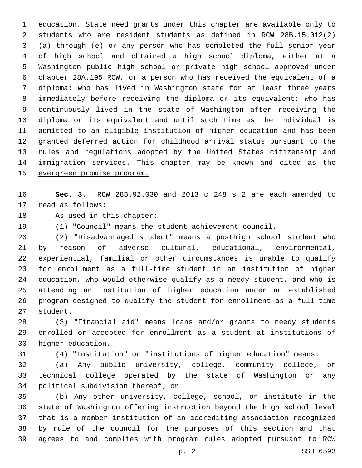education. State need grants under this chapter are available only to students who are resident students as defined in RCW 28B.15.012(2) (a) through (e) or any person who has completed the full senior year of high school and obtained a high school diploma, either at a Washington public high school or private high school approved under chapter 28A.195 RCW, or a person who has received the equivalent of a diploma; who has lived in Washington state for at least three years immediately before receiving the diploma or its equivalent; who has continuously lived in the state of Washington after receiving the diploma or its equivalent and until such time as the individual is admitted to an eligible institution of higher education and has been granted deferred action for childhood arrival status pursuant to the rules and regulations adopted by the United States citizenship and immigration services. This chapter may be known and cited as the evergreen promise program.

 **Sec. 3.** RCW 28B.92.030 and 2013 c 248 s 2 are each amended to 17 read as follows:

18 As used in this chapter:

(1) "Council" means the student achievement council.

 (2) "Disadvantaged student" means a posthigh school student who by reason of adverse cultural, educational, environmental, experiential, familial or other circumstances is unable to qualify for enrollment as a full-time student in an institution of higher education, who would otherwise qualify as a needy student, and who is attending an institution of higher education under an established program designed to qualify the student for enrollment as a full-time 27 student.

 (3) "Financial aid" means loans and/or grants to needy students enrolled or accepted for enrollment as a student at institutions of 30 higher education.

(4) "Institution" or "institutions of higher education" means:

 (a) Any public university, college, community college, or technical college operated by the state of Washington or any 34 political subdivision thereof; or

 (b) Any other university, college, school, or institute in the state of Washington offering instruction beyond the high school level that is a member institution of an accrediting association recognized by rule of the council for the purposes of this section and that agrees to and complies with program rules adopted pursuant to RCW

p. 2 SSB 6593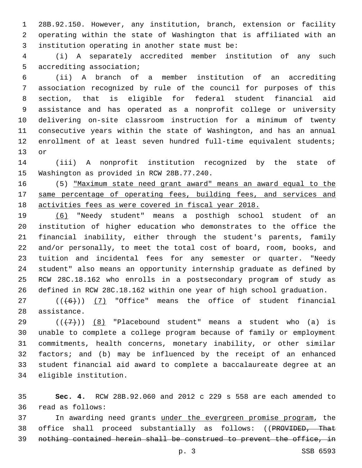28B.92.150. However, any institution, branch, extension or facility operating within the state of Washington that is affiliated with an 3 institution operating in another state must be:

 (i) A separately accredited member institution of any such 5 accrediting association;

 (ii) A branch of a member institution of an accrediting association recognized by rule of the council for purposes of this section, that is eligible for federal student financial aid assistance and has operated as a nonprofit college or university delivering on-site classroom instruction for a minimum of twenty consecutive years within the state of Washington, and has an annual enrollment of at least seven hundred full-time equivalent students; 13 or

 (iii) A nonprofit institution recognized by the state of 15 Washington as provided in RCW 28B.77.240.

 (5) "Maximum state need grant award" means an award equal to the 17 same percentage of operating fees, building fees, and services and activities fees as were covered in fiscal year 2018.

 (6) "Needy student" means a posthigh school student of an institution of higher education who demonstrates to the office the financial inability, either through the student's parents, family and/or personally, to meet the total cost of board, room, books, and tuition and incidental fees for any semester or quarter. "Needy student" also means an opportunity internship graduate as defined by RCW 28C.18.162 who enrolls in a postsecondary program of study as defined in RCW 28C.18.162 within one year of high school graduation.

27  $((+6+))$  (7) "Office" means the office of student financial 28 assistance.

 $((+7+))$  (8) "Placebound student" means a student who (a) is unable to complete a college program because of family or employment commitments, health concerns, monetary inability, or other similar factors; and (b) may be influenced by the receipt of an enhanced student financial aid award to complete a baccalaureate degree at an 34 eligible institution.

 **Sec. 4.** RCW 28B.92.060 and 2012 c 229 s 558 are each amended to read as follows:36

 In awarding need grants under the evergreen promise program, the office shall proceed substantially as follows: ((PROVIDED, That nothing contained herein shall be construed to prevent the office, in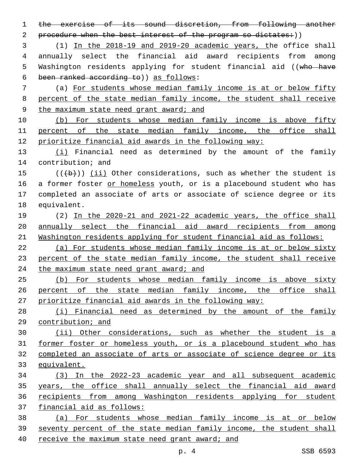the exercise of its sound discretion, from following another 2 procedure when the best interest of the program so dictates:)) (1) In the 2018-19 and 2019-20 academic years, the office shall annually select the financial aid award recipients from among

5 Washington residents applying for student financial aid ((who have been ranked according to)) as follows:6

 (a) For students whose median family income is at or below fifty percent of the state median family income, the student shall receive 9 the maximum state need grant award; and

 (b) For students whose median family income is above fifty 11 percent of the state median family income, the office shall prioritize financial aid awards in the following way:

13 (i) Financial need as determined by the amount of the family 14 contribution; and

 $((+b))$  (ii) Other considerations, such as whether the student is 16 a former foster or homeless youth, or is a placebound student who has completed an associate of arts or associate of science degree or its 18 equivalent.

 (2) In the 2020-21 and 2021-22 academic years, the office shall annually select the financial aid award recipients from among Washington residents applying for student financial aid as follows:

 (a) For students whose median family income is at or below sixty percent of the state median family income, the student shall receive 24 the maximum state need grant award; and

 (b) For students whose median family income is above sixty percent of the state median family income, the office shall prioritize financial aid awards in the following way:

 (i) Financial need as determined by the amount of the family contribution; and

 (ii) Other considerations, such as whether the student is a former foster or homeless youth, or is a placebound student who has completed an associate of arts or associate of science degree or its equivalent.

 (3) In the 2022-23 academic year and all subsequent academic years, the office shall annually select the financial aid award recipients from among Washington residents applying for student financial aid as follows:

 (a) For students whose median family income is at or below 39 seventy percent of the state median family income, the student shall receive the maximum state need grant award; and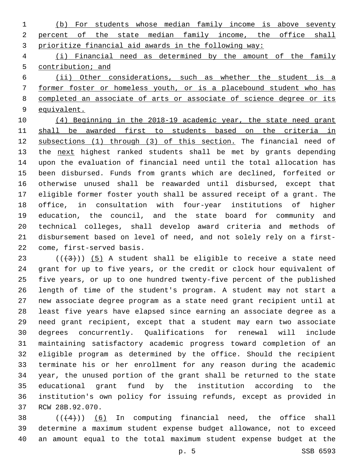(b) For students whose median family income is above seventy percent of the state median family income, the office shall prioritize financial aid awards in the following way:

 (i) Financial need as determined by the amount of the family 5 contribution; and

 (ii) Other considerations, such as whether the student is a former foster or homeless youth, or is a placebound student who has completed an associate of arts or associate of science degree or its equivalent.

 (4) Beginning in the 2018-19 academic year, the state need grant 11 shall be awarded first to students based on the criteria in 12 subsections (1) through (3) of this section. The financial need of 13 the next highest ranked students shall be met by grants depending upon the evaluation of financial need until the total allocation has been disbursed. Funds from grants which are declined, forfeited or otherwise unused shall be reawarded until disbursed, except that eligible former foster youth shall be assured receipt of a grant. The office, in consultation with four-year institutions of higher education, the council, and the state board for community and technical colleges, shall develop award criteria and methods of disbursement based on level of need, and not solely rely on a first-22 come, first-served basis.

 $((+3+))$  (5) A student shall be eligible to receive a state need grant for up to five years, or the credit or clock hour equivalent of five years, or up to one hundred twenty-five percent of the published length of time of the student's program. A student may not start a new associate degree program as a state need grant recipient until at least five years have elapsed since earning an associate degree as a need grant recipient, except that a student may earn two associate degrees concurrently. Qualifications for renewal will include maintaining satisfactory academic progress toward completion of an eligible program as determined by the office. Should the recipient terminate his or her enrollment for any reason during the academic year, the unused portion of the grant shall be returned to the state educational grant fund by the institution according to the institution's own policy for issuing refunds, except as provided in 37 RCW 28B.92.070.

38  $((4+))$  (6) In computing financial need, the office shall determine a maximum student expense budget allowance, not to exceed an amount equal to the total maximum student expense budget at the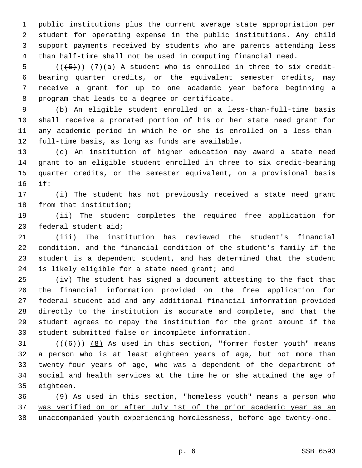public institutions plus the current average state appropriation per student for operating expense in the public institutions. Any child support payments received by students who are parents attending less than half-time shall not be used in computing financial need.

 (( $\overline{+5}$ )) (7)(a) A student who is enrolled in three to six credit- bearing quarter credits, or the equivalent semester credits, may receive a grant for up to one academic year before beginning a 8 program that leads to a degree or certificate.

 (b) An eligible student enrolled on a less-than-full-time basis shall receive a prorated portion of his or her state need grant for any academic period in which he or she is enrolled on a less-than-12 full-time basis, as long as funds are available.

 (c) An institution of higher education may award a state need grant to an eligible student enrolled in three to six credit-bearing quarter credits, or the semester equivalent, on a provisional basis if:16

 (i) The student has not previously received a state need grant 18 from that institution;

 (ii) The student completes the required free application for 20 federal student aid;

 (iii) The institution has reviewed the student's financial condition, and the financial condition of the student's family if the student is a dependent student, and has determined that the student 24 is likely eligible for a state need grant; and

 (iv) The student has signed a document attesting to the fact that the financial information provided on the free application for federal student aid and any additional financial information provided directly to the institution is accurate and complete, and that the student agrees to repay the institution for the grant amount if the student submitted false or incomplete information.

 $((+6+))$   $(8)$  As used in this section, "former foster youth" means a person who is at least eighteen years of age, but not more than twenty-four years of age, who was a dependent of the department of social and health services at the time he or she attained the age of 35 eighteen.

 (9) As used in this section, "homeless youth" means a person who was verified on or after July 1st of the prior academic year as an unaccompanied youth experiencing homelessness, before age twenty-one.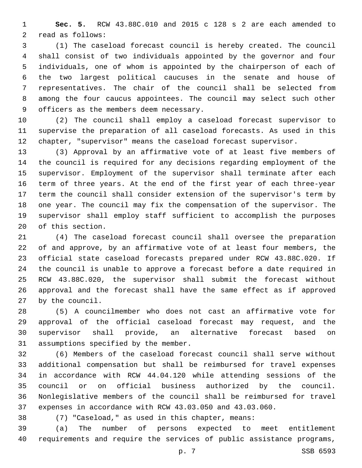**Sec. 5.** RCW 43.88C.010 and 2015 c 128 s 2 are each amended to 2 read as follows:

 (1) The caseload forecast council is hereby created. The council shall consist of two individuals appointed by the governor and four individuals, one of whom is appointed by the chairperson of each of the two largest political caucuses in the senate and house of representatives. The chair of the council shall be selected from among the four caucus appointees. The council may select such other 9 officers as the members deem necessary.

 (2) The council shall employ a caseload forecast supervisor to supervise the preparation of all caseload forecasts. As used in this chapter, "supervisor" means the caseload forecast supervisor.

 (3) Approval by an affirmative vote of at least five members of the council is required for any decisions regarding employment of the supervisor. Employment of the supervisor shall terminate after each term of three years. At the end of the first year of each three-year term the council shall consider extension of the supervisor's term by one year. The council may fix the compensation of the supervisor. The supervisor shall employ staff sufficient to accomplish the purposes 20 of this section.

 (4) The caseload forecast council shall oversee the preparation of and approve, by an affirmative vote of at least four members, the official state caseload forecasts prepared under RCW 43.88C.020. If the council is unable to approve a forecast before a date required in RCW 43.88C.020, the supervisor shall submit the forecast without approval and the forecast shall have the same effect as if approved by the council.27

 (5) A councilmember who does not cast an affirmative vote for approval of the official caseload forecast may request, and the supervisor shall provide, an alternative forecast based on 31 assumptions specified by the member.

 (6) Members of the caseload forecast council shall serve without additional compensation but shall be reimbursed for travel expenses in accordance with RCW 44.04.120 while attending sessions of the council or on official business authorized by the council. Nonlegislative members of the council shall be reimbursed for travel expenses in accordance with RCW 43.03.050 and 43.03.060.

(7) "Caseload," as used in this chapter, means:

 (a) The number of persons expected to meet entitlement requirements and require the services of public assistance programs,

p. 7 SSB 6593